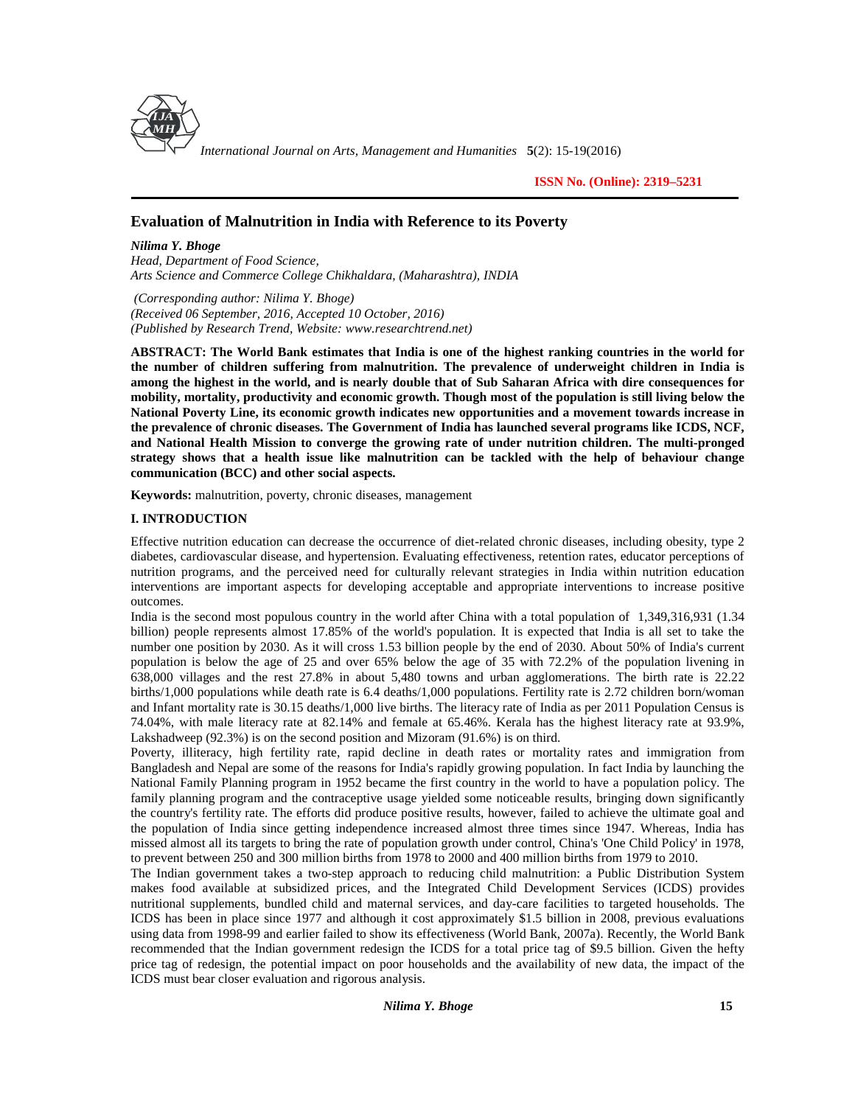

*International Journal on Arts, Management and Humanities* **5**(2): 15-19(2016)

**ISSN No. (Online): 2319–5231**

# **Evaluation of Malnutrition in India with Reference to its Poverty**

*Nilima Y. Bhoge Head, Department of Food Science, Arts Science and Commerce College Chikhaldara, (Maharashtra), INDIA*

*(Corresponding author: Nilima Y. Bhoge) (Received 06 September, 2016, Accepted 10 October, 2016) (Published by Research Trend, Website: <www.researchtrend.net>)*

**ABSTRACT: The World Bank estimates that India is one of the highest ranking countries in the world for the number of children suffering from malnutrition. The prevalence of underweight children in India is among the highest in the world, and is nearly double that of Sub Saharan Africa with dire consequences for mobility, mortality, productivity and economic growth. Though most of the population is still living below the National Poverty Line, its economic growth indicates new opportunities and a movement towards increase in the prevalence of chronic diseases. The Government of India has launched several programs like ICDS, NCF, and National Health Mission to converge the growing rate of under nutrition children. The multi-pronged strategy shows that a health issue like malnutrition can be tackled with the help of behaviour change communication (BCC) and other social aspects.**

**Keywords:** malnutrition, poverty, chronic diseases, management

### **I. INTRODUCTION**

Effective nutrition education can decrease the occurrence of diet-related chronic diseases, including obesity, type 2 diabetes, cardiovascular disease, and hypertension. Evaluating effectiveness, retention rates, educator perceptions of nutrition programs, and the perceived need for culturally relevant strategies in India within nutrition education interventions are important aspects for developing acceptable and appropriate interventions to increase positive outcomes.

India is the second most populous country in the world after China with a total population of 1,349,316,931 (1.34 billion) people represents almost 17.85% of the world's population. It is expected that India is all set to take the number one position by 2030. As it will cross 1.53 billion people by the end of 2030. About 50% of India's current population is below the age of 25 and over 65% below the age of 35 with 72.2% of the population livening in 638,000 villages and the rest 27.8% in about 5,480 towns and urban agglomerations. The birth rate is 22.22 births/1,000 populations while death rate is 6.4 deaths/1,000 populations. Fertility rate is 2.72 children born/woman and Infant mortality rate is 30.15 deaths/1,000 live births. The literacy rate of India as per 2011 Population Census is 74.04%, with male literacy rate at 82.14% and female at 65.46%. Kerala has the highest literacy rate at 93.9%, Lakshadweep (92.3%) is on the second position and Mizoram (91.6%) is on third.

Poverty, illiteracy, high fertility rate, rapid decline in death rates or mortality rates and immigration from Bangladesh and Nepal are some of the reasons for India's rapidly growing population. In fact India by launching the National Family Planning program in 1952 became the first country in the world to have a population policy. The family planning program and the contraceptive usage yielded some noticeable results, bringing down significantly the country's fertility rate. The efforts did produce positive results, however, failed to achieve the ultimate goal and the population of India since getting independence increased almost three times since 1947. Whereas, India has missed almost all its targets to bring the rate of population growth under control, China's 'One Child Policy' in 1978, to prevent between 250 and 300 million births from 1978 to 2000 and 400 million births from 1979 to 2010.

The Indian government takes a two-step approach to reducing child malnutrition: a Public Distribution System makes food available at subsidized prices, and the Integrated Child Development Services (ICDS) provides nutritional supplements, bundled child and maternal services, and day-care facilities to targeted households. The ICDS has been in place since 1977 and although it cost approximately \$1.5 billion in 2008, previous evaluations using data from 1998-99 and earlier failed to show its effectiveness (World Bank, 2007a). Recently, the World Bank recommended that the Indian government redesign the ICDS for a total price tag of \$9.5 billion. Given the hefty price tag of redesign, the potential impact on poor households and the availability of new data, the impact of the ICDS must bear closer evaluation and rigorous analysis.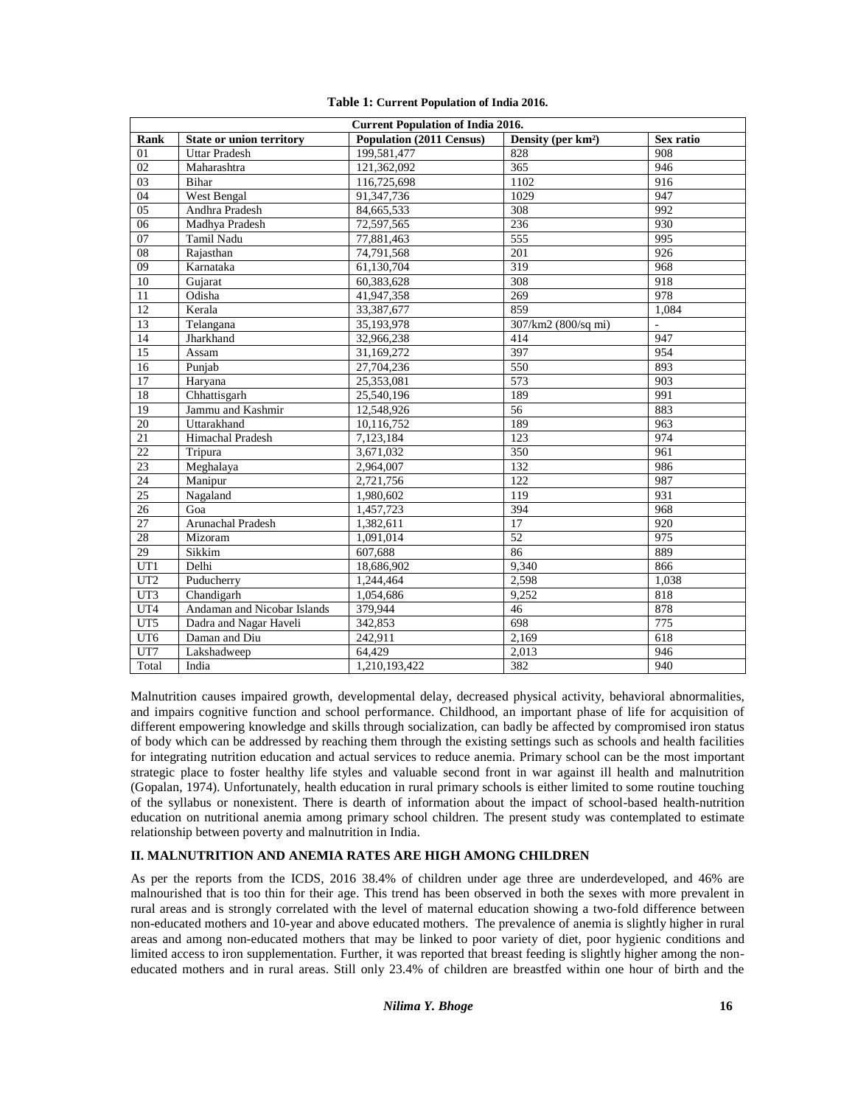| <b>Current Population of India 2016.</b> |                                 |                                 |                                |                          |
|------------------------------------------|---------------------------------|---------------------------------|--------------------------------|--------------------------|
| Rank                                     | <b>State or union territory</b> | <b>Population (2011 Census)</b> | Density (per km <sup>2</sup> ) | Sex ratio                |
| 01                                       | <b>Uttar Pradesh</b>            | 199,581,477                     | 828                            | 908                      |
| $\overline{02}$                          | Maharashtra                     | 121,362,092                     | $\overline{365}$               | 946                      |
| 03                                       | Bihar                           | 116,725,698                     | 1102                           | 916                      |
| 04                                       | West Bengal                     | 91,347,736                      | 1029                           | 947                      |
| $\overline{05}$                          | Andhra Pradesh                  | 84,665,533                      | 308                            | 992                      |
| 06                                       | Madhya Pradesh                  | 72,597,565                      | 236                            | 930                      |
| 07                                       | <b>Tamil Nadu</b>               | 77,881,463                      | 555                            | 995                      |
| 08                                       | Rajasthan                       | 74,791,568                      | 201                            | 926                      |
| 09                                       | Karnataka                       | 61,130,704                      | 319                            | 968                      |
| 10                                       | Gujarat                         | 60,383,628                      | 308                            | 918                      |
| 11                                       | Odisha                          | 41,947,358                      | 269                            | 978                      |
| $\overline{12}$                          | Kerala                          | 33,387,677                      | 859                            | 1.084                    |
| 13                                       | Telangana                       | 35,193,978                      | 307/km2 (800/sq mi)            | $\overline{\phantom{a}}$ |
| 14                                       | Jharkhand                       | 32,966,238                      | 414                            | 947                      |
| 15                                       | Assam                           | 31,169,272                      | 397                            | 954                      |
| 16                                       | Punjab                          | 27,704,236                      | 550                            | 893                      |
| 17                                       | Harvana                         | 25,353,081                      | 573                            | 903                      |
| 18                                       | Chhattisgarh                    | 25,540,196                      | 189                            | 991                      |
| 19                                       | Jammu and Kashmir               | 12,548,926                      | 56                             | 883                      |
| 20                                       | Uttarakhand                     | 10,116,752                      | 189                            | 963                      |
| 21                                       | Himachal Pradesh                | 7,123,184                       | 123                            | 974                      |
| $\overline{22}$                          | Tripura                         | 3,671,032                       | 350                            | 961                      |
| 23                                       | Meghalaya                       | 2,964,007                       | 132                            | 986                      |
| 24                                       | Manipur                         | 2,721,756                       | 122                            | 987                      |
| 25                                       | Nagaland                        | 1,980,602                       | 119                            | 931                      |
| 26                                       | Goa                             | 1,457,723                       | 394                            | 968                      |
| 27                                       | Arunachal Pradesh               | 1,382,611                       | 17                             | 920                      |
| $\overline{28}$                          | Mizoram                         | 1.091.014                       | $\overline{52}$                | 975                      |
| 29                                       | Sikkim                          | 607.688                         | 86                             | 889                      |
| UT1                                      | Delhi                           | 18,686,902                      | 9,340                          | 866                      |
| UT2                                      | Puducherry                      | 1,244,464                       | 2,598                          | 1,038                    |
| UT3                                      | Chandigarh                      | 1,054,686                       | 9.252                          | 818                      |
| UT4                                      | Andaman and Nicobar Islands     | 379,944                         | 46                             | 878                      |
| UT5                                      | Dadra and Nagar Haveli          | 342,853                         | 698                            | 775                      |
| UT <sub>6</sub>                          | Daman and Diu                   | 242,911                         | 2,169                          | 618                      |
| UT7                                      | Lakshadweep                     | 64.429                          | 2.013                          | 946                      |
| Total                                    | India                           | 1,210,193,422                   | 382                            | 940                      |

**Table 1: Current Population of India 2016.**

Malnutrition causes impaired growth, developmental delay, decreased physical activity, behavioral abnormalities, and impairs cognitive function and school performance. Childhood, an important phase of life for acquisition of different empowering knowledge and skills through socialization, can badly be affected by compromised iron status of body which can be addressed by reaching them through the existing settings such as schools and health facilities for integrating nutrition education and actual services to reduce anemia. Primary school can be the most important strategic place to foster healthy life styles and valuable second front in war against ill health and malnutrition (Gopalan, 1974). Unfortunately, health education in rural primary schools is either limited to some routine touching of the syllabus or nonexistent. There is dearth of information about the impact of school-based health-nutrition education on nutritional anemia among primary school children. The present study was contemplated to estimate relationship between poverty and malnutrition in India.

## **II. MALNUTRITION AND ANEMIA RATES ARE HIGH AMONG CHILDREN**

As per the reports from the ICDS, 2016 38.4% of children under age three are underdeveloped, and 46% are malnourished that is too thin for their age. This trend has been observed in both the sexes with more prevalent in rural areas and is strongly correlated with the level of maternal education showing a two-fold difference between non-educated mothers and 10-year and above educated mothers. The prevalence of anemia is slightly higher in rural areas and among non-educated mothers that may be linked to poor variety of diet, poor hygienic conditions and limited access to iron supplementation. Further, it was reported that breast feeding is slightly higher among the non educated mothers and in rural areas. Still only 23.4% of children are breastfed within one hour of birth and the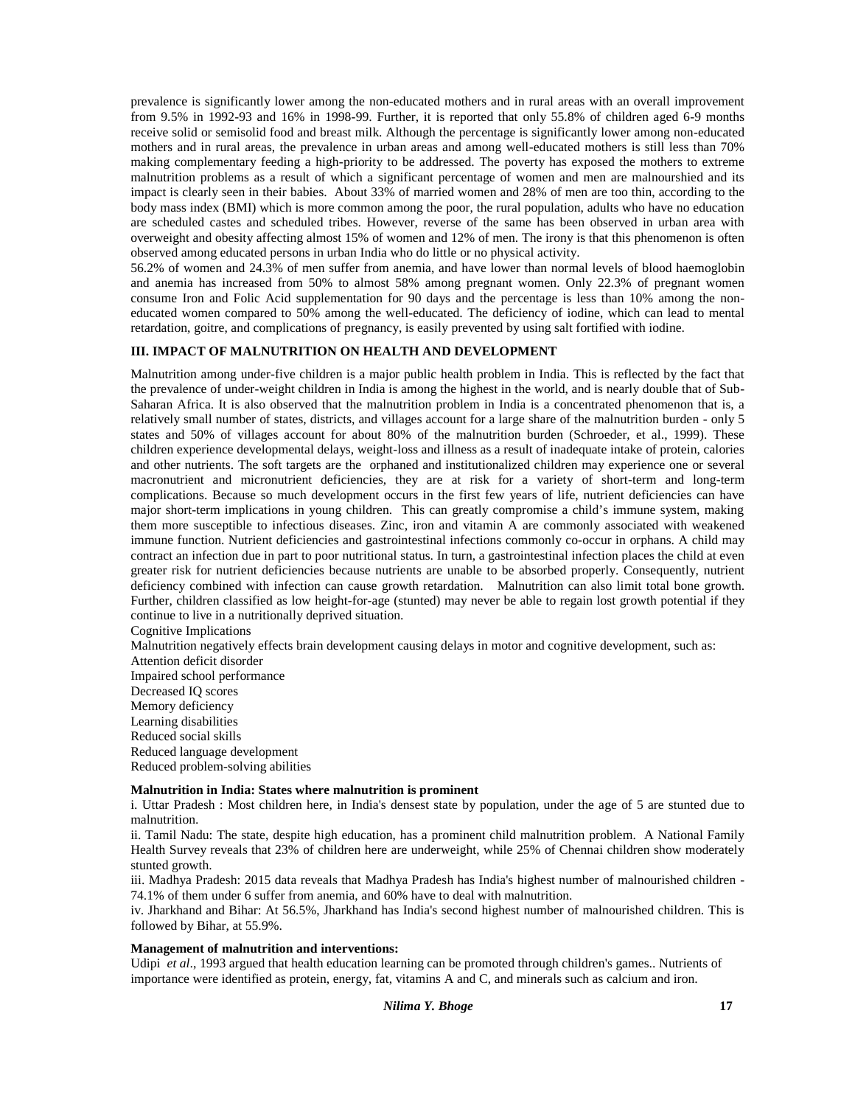prevalence is significantly lower among the non-educated mothers and in rural areas with an overall improvement from 9.5% in 1992-93 and 16% in 1998-99. Further, it is reported that only 55.8% of children aged 6-9 months receive solid or semisolid food and breast milk. Although the percentage is significantly lower among non-educated mothers and in rural areas, the prevalence in urban areas and among well-educated mothers is still less than 70% making complementary feeding a high-priority to be addressed. The poverty has exposed the mothers to extreme malnutrition problems as a result of which a significant percentage of women and men are malnourshied and its impact is clearly seen in their babies. About 33% of married women and 28% of men are too thin, according to the body mass index (BMI) which is more common among the poor, the rural population, adults who have no education are scheduled castes and scheduled tribes. However, reverse of the same has been observed in urban area with overweight and obesity affecting almost 15% of women and 12% of men. The irony is that this phenomenon is often observed among educated persons in urban India who do little or no physical activity.

56.2% of women and 24.3% of men suffer from anemia, and have lower than normal levels of blood haemoglobin and anemia has increased from 50% to almost 58% among pregnant women. Only 22.3% of pregnant women consume Iron and Folic Acid supplementation for 90 days and the percentage is less than 10% among the non educated women compared to 50% among the well-educated. The deficiency of iodine, which can lead to mental retardation, goitre, and complications of pregnancy, is easily prevented by using salt fortified with iodine.

#### **III. IMPACT OF MALNUTRITION ON HEALTH AND DEVELOPMENT**

Malnutrition among under-five children is a major public health problem in India. This is reflected by the fact that the prevalence of under-weight children in India is among the highest in the world, and is nearly double that of Sub- Saharan Africa. It is also observed that the malnutrition problem in India is a concentrated phenomenon that is, a relatively small number of states, districts, and villages account for a large share of the malnutrition burden - only 5 states and 50% of villages account for about 80% of the malnutrition burden (Schroeder, et al., 1999). These children experience developmental delays, weight-loss and illness as a result of inadequate intake of protein, calories and other nutrients. The soft targets are the orphaned and institutionalized children may experience one or several macronutrient and micronutrient deficiencies, they are at risk for a variety of short-term and long-term complications. Because so much development occurs in the first few years of life, nutrient deficiencies can have major short-term implications in young children. This can greatly compromise a child's immune system, making them more susceptible to infectious diseases. Zinc, iron and vitamin A are commonly associated with weakened immune function. Nutrient deficiencies and gastrointestinal infections commonly co-occur in orphans. A child may contract an infection due in part to poor nutritional status. In turn, a gastrointestinal infection places the child at even greater risk for nutrient deficiencies because nutrients are unable to be absorbed properly. Consequently, nutrient deficiency combined with infection can cause growth retardation. Malnutrition can also limit total bone growth. Further, children classified as low height-for-age (stunted) may never be able to regain lost growth potential if they continue to live in a nutritionally deprived situation.

Cognitive Implications

Malnutrition negatively effects brain development causing delays in motor and cognitive development, such as: Attention deficit disorder

Impaired school performance Decreased IQ scores Memory deficiency Learning disabilities Reduced social skills Reduced language development Reduced problem-solving abilities

**Malnutrition in India: States where malnutrition is prominent**

i. Uttar Pradesh : Most children here, in India's densest state by population, under the age of 5 are stunted due to malnutrition.

ii. Tamil Nadu: The state, despite high education, has a prominent child malnutrition problem. A National Family Health Survey reveals that 23% of children here are underweight, while 25% of Chennai children show moderately stunted growth.

iii. Madhya Pradesh: 2015 data reveals that Madhya Pradesh has India's highest number of malnourished children - 74.1% of them under 6 suffer from anemia, and 60% have to deal with malnutrition.

iv. Jharkhand and Bihar: At 56.5%, Jharkhand has India's second highest number of malnourished children. This is followed by Bihar, at 55.9%.

#### **Management of malnutrition and interventions:**

Udipi *et al*., 1993 argued that health education learning can be promoted through children's games.. Nutrients of importance were identified as protein, energy, fat, vitamins A and C, and minerals such as calcium and iron.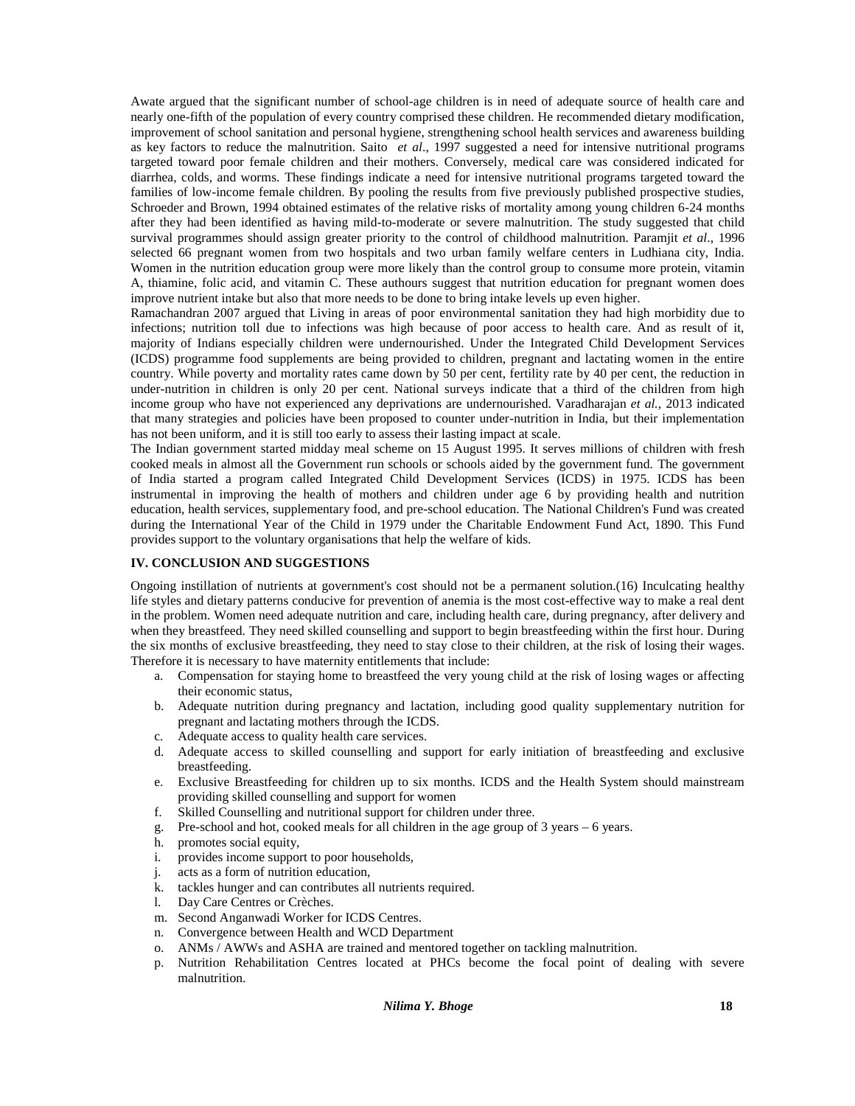Awate argued that the significant number of school-age children is in need of adequate source of health care and nearly one-fifth of the population of every country comprised these children. He recommended dietary modification, improvement of school sanitation and personal hygiene, strengthening school health services and awareness building as key factors to reduce the malnutrition. Saito *et al*., 1997 suggested a need for intensive nutritional programs targeted toward poor female children and their mothers. Conversely, medical care was considered indicated for diarrhea, colds, and worms. These findings indicate a need for intensive nutritional programs targeted toward the families of low-income female children. By pooling the results from five previously published prospective studies, Schroeder and Brown, 1994 obtained estimates of the relative risks of mortality among young children 6-24 months after they had been identified as having mild-to-moderate or severe malnutrition. The study suggested that child survival programmes should assign greater priority to the control of childhood malnutrition. Paramjit *et al*., 1996 selected 66 pregnant women from two hospitals and two urban family welfare centers in Ludhiana city, India. Women in the nutrition education group were more likely than the control group to consume more protein, vitamin A, thiamine, folic acid, and vitamin C. These authours suggest that nutrition education for pregnant women does improve nutrient intake but also that more needs to be done to bring intake levels up even higher.

Ramachandran 2007 argued that Living in areas of poor environmental sanitation they had high morbidity due to infections; nutrition toll due to infections was high because of poor access to health care. And as result of it, majority of Indians especially children were undernourished. Under the Integrated Child Development Services (ICDS) programme food supplements are being provided to children, pregnant and lactating women in the entire country. While poverty and mortality rates came down by 50 per cent, fertility rate by 40 per cent, the reduction in under-nutrition in children is only 20 per cent. National surveys indicate that a third of the children from high income group who have not experienced any deprivations are undernourished. Varadharajan *et al.,* 2013 indicated that many strategies and policies have been proposed to counter under-nutrition in India, but their implementation has not been uniform, and it is still too early to assess their lasting impact at scale.

The Indian government started midday meal scheme on 15 August 1995. It serves millions of children with fresh cooked meals in almost all the Government run schools or schools aided by the government fund. The government of India started a program called Integrated Child Development Services (ICDS) in 1975. ICDS has been instrumental in improving the health of mothers and children under age 6 by providing health and nutrition education, health services, supplementary food, and pre-school education. The National Children's Fund was created during the International Year of the Child in 1979 under the Charitable Endowment Fund Act, 1890. This Fund provides support to the voluntary organisations that help the welfare of kids.

#### **IV. CONCLUSION AND SUGGESTIONS**

Ongoing instillation of nutrients at government's cost should not be a permanent solution.(16) Inculcating healthy life styles and dietary patterns conducive for prevention of anemia is the most cost-effective way to make a real dent in the problem. Women need adequate nutrition and care, including health care, during pregnancy, after delivery and when they breastfeed. They need skilled counselling and support to begin breastfeeding within the first hour. During the six months of exclusive breastfeeding, they need to stay close to their children, at the risk of losing their wages. Therefore it is necessary to have maternity entitlements that include:

- a. Compensation for staying home to breastfeed the very young child at the risk of losing wages or affecting their economic status,
- b. Adequate nutrition during pregnancy and lactation, including good quality supplementary nutrition for pregnant and lactating mothers through the ICDS.
- c. Adequate access to quality health care services.
- d. Adequate access to skilled counselling and support for early initiation of breastfeeding and exclusive breastfeeding.
- e. Exclusive Breastfeeding for children up to six months. ICDS and the Health System should mainstream providing skilled counselling and support for women
- f. Skilled Counselling and nutritional support for children under three.
- g. Pre-school and hot, cooked meals for all children in the age group of 3 years 6 years.
- promotes social equity,
- i. provides income support to poor households,
- j. acts as a form of nutrition education,
- k. tackles hunger and can contributes all nutrients required.
- l. Day Care Centres or Crèches.
- m. Second Anganwadi Worker for ICDS Centres.
- n. Convergence between Health and WCD Department
- o. ANMs / AWWs and ASHA are trained and mentored together on tackling malnutrition.
- p. Nutrition Rehabilitation Centres located at PHCs become the focal point of dealing with severe malnutrition.